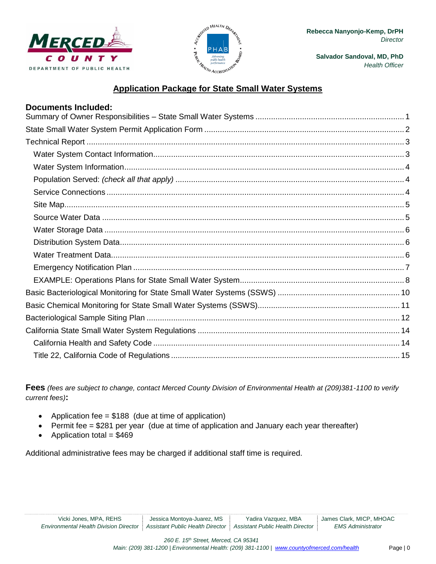

**Documents Included:**



**Salvador Sandoval, MD, PhD** *Health Officer*

# **Application Package for State Small Water Systems**

| <b>Documents Included:</b> |  |
|----------------------------|--|
|                            |  |
|                            |  |
|                            |  |
|                            |  |
|                            |  |
|                            |  |
|                            |  |
|                            |  |
|                            |  |
|                            |  |
|                            |  |
|                            |  |
|                            |  |
|                            |  |
|                            |  |
|                            |  |
|                            |  |
|                            |  |
|                            |  |

**Fees** *(fees are subject to change, contact Merced County Division of Environmental Health at (209)381-1100 to verify current fees)***:**

- Application fee =  $$188$  (due at time of application)
- Permit fee = \$281 per year (due at time of application and January each year thereafter)
- Application total  $= $469$

Additional administrative fees may be charged if additional staff time is required.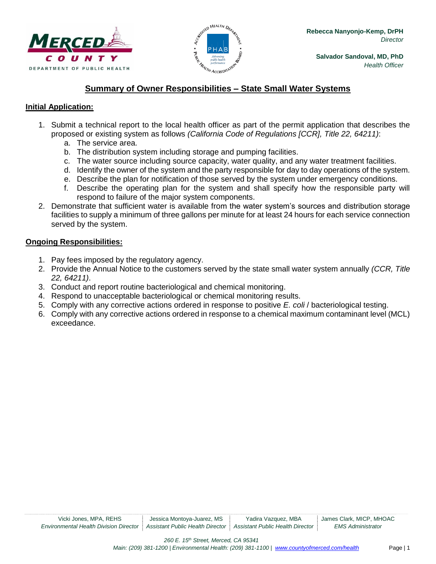



# **Summary of Owner Responsibilities – State Small Water Systems**

## <span id="page-1-0"></span>**Initial Application:**

- 1. Submit a technical report to the local health officer as part of the permit application that describes the proposed or existing system as follows *(California Code of Regulations [CCR], Title 22, 64211)*:
	- a. The service area.
	- b. The distribution system including storage and pumping facilities.
	- c. The water source including source capacity, water quality, and any water treatment facilities.
	- d. Identify the owner of the system and the party responsible for day to day operations of the system.
	- e. Describe the plan for notification of those served by the system under emergency conditions.
	- f. Describe the operating plan for the system and shall specify how the responsible party will respond to failure of the major system components.
- 2. Demonstrate that sufficient water is available from the water system's sources and distribution storage facilities to supply a minimum of three gallons per minute for at least 24 hours for each service connection served by the system.

#### **Ongoing Responsibilities:**

- 1. Pay fees imposed by the regulatory agency.
- 2. Provide the Annual Notice to the customers served by the state small water system annually *(CCR, Title 22, 64211)*.
- 3. Conduct and report routine bacteriological and chemical monitoring.
- 4. Respond to unacceptable bacteriological or chemical monitoring results.
- 5. Comply with any corrective actions ordered in response to positive *E. coli* / bacteriological testing.
- 6. Comply with any corrective actions ordered in response to a chemical maximum contaminant level (MCL) exceedance.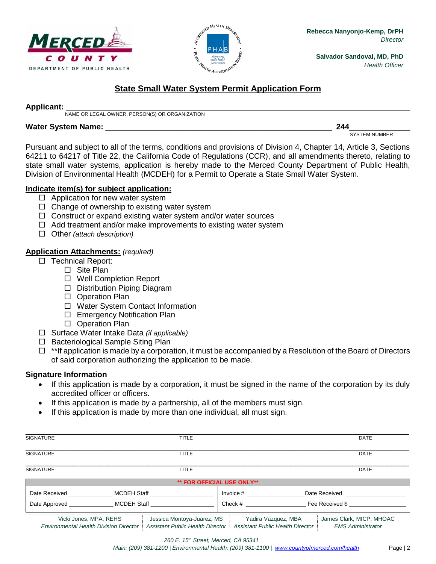



# **State Small Water System Permit Application Form**

#### <span id="page-2-0"></span>**Applicant:** \_\_\_\_\_\_\_\_\_\_\_\_\_\_\_\_\_\_\_\_\_\_\_\_\_\_\_\_\_\_\_\_\_\_\_\_\_\_\_\_\_\_\_\_\_\_\_\_\_\_\_\_\_\_\_\_\_\_\_\_\_\_\_\_\_\_\_\_\_\_\_\_\_\_\_\_\_\_\_

NAME OR LEGAL OWNER, PERSON(S) OR ORGANIZATION

#### **Water System Name:** \_\_\_\_\_\_\_\_\_\_\_\_\_\_\_\_\_\_\_\_\_\_\_\_\_\_\_\_\_\_\_\_\_\_\_\_\_\_\_\_\_\_\_\_\_\_\_\_\_\_\_\_ **244**\_\_\_\_\_\_\_\_\_\_\_\_\_\_

SYSTEM NUMBER

Pursuant and subject to all of the terms, conditions and provisions of Division 4, Chapter 14, Article 3, Sections 64211 to 64217 of Title 22, the California Code of Regulations (CCR), and all amendments thereto, relating to state small water systems, application is hereby made to the Merced County Department of Public Health, Division of Environmental Health (MCDEH) for a Permit to Operate a State Small Water System.

# **Indicate item(s) for subject application:**

- $\Box$  Application for new water system
- $\Box$  Change of ownership to existing water system
- $\Box$  Construct or expand existing water system and/or water sources
- $\Box$  Add treatment and/or make improvements to existing water system
- Other *(attach description)*

## **Application Attachments:** *(required)*

- □ Technical Report:
	- □ Site Plan
	- □ Well Completion Report
	- $\Box$  Distribution Piping Diagram
	- □ Operation Plan
	- □ Water System Contact Information
	- □ Emergency Notification Plan
	- □ Operation Plan
- Surface Water Intake Data *(if applicable)*
- □ Bacteriological Sample Siting Plan
- $\Box$  \*\*If application is made by a corporation, it must be accompanied by a Resolution of the Board of Directors of said corporation authorizing the application to be made.

# **Signature Information**

- If this application is made by a corporation, it must be signed in the name of the corporation by its duly accredited officer or officers.
- If this application is made by a partnership, all of the members must sign.
- If this application is made by more than one individual, all must sign.

| <b>SIGNATURE</b> | <b>TITLE</b>                                                                            |                                   | <b>DATE</b>                                                |
|------------------|-----------------------------------------------------------------------------------------|-----------------------------------|------------------------------------------------------------|
| <b>SIGNATURE</b> | <b>TITLE</b>                                                                            |                                   | <b>DATE</b>                                                |
| <b>SIGNATURE</b> | <b>TITLE</b>                                                                            |                                   | <b>DATE</b>                                                |
|                  |                                                                                         | <b>** FOR OFFICIAL USE ONLY**</b> |                                                            |
|                  | Date Received MCDEH Staff<br>Date Approved _______________________ MCDEH Staff ________ | Invoice $#$                       | Date Received <b>Example 20</b><br>Check # Fee Received \$ |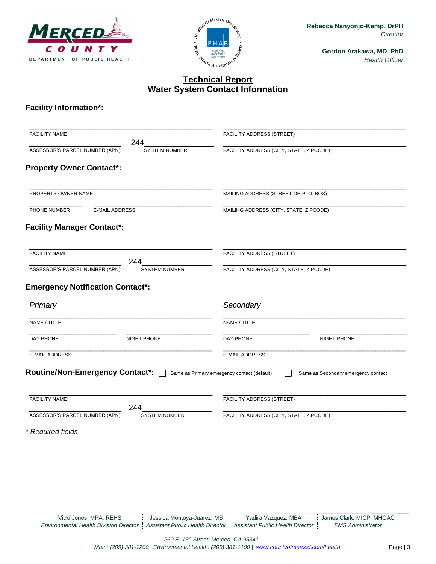



# **Technical Report Water System Contact Information**

# <span id="page-3-1"></span><span id="page-3-0"></span>**Facility Information\*:**

| <b>FACILITY NAME</b><br>244                                                              |                                         |
|------------------------------------------------------------------------------------------|-----------------------------------------|
|                                                                                          | FACILITY ADDRESS (STREET)               |
| ASSESSOR'S PARCEL NUMBER (APN)<br><b>SYSTEM NUMBER</b>                                   | FACILITY ADDRESS (CITY, STATE, ZIPCODE) |
| <b>Property Owner Contact*:</b>                                                          |                                         |
| PROPERTY OWNER NAME                                                                      | MAILING ADDRESS (STREET OR P. O. BOX)   |
| PHONE NUMBER<br><b>E-MAIL ADDRESS</b>                                                    | MAILING ADDRESS (CITY, STATE, ZIPCODE)  |
| <b>Facility Manager Contact*:</b>                                                        |                                         |
| <b>FACILITY NAME</b>                                                                     | FACILITY ADDRESS (STREET)               |
| 244<br>ASSESSOR'S PARCEL NUMBER (APN)<br><b>SYSTEM NUMBER</b>                            | FACILITY ADDRESS (CITY, STATE, ZIPCODE) |
| <b>Emergency Notification Contact*:</b><br>Primary                                       | Secondary                               |
| NAME / TITLE                                                                             | NAME / TITLE                            |
| DAY PHONE<br>NIGHT PHONE                                                                 | DAY PHONE<br>NIGHT PHONE                |
| <b>E-MAIL ADDRESS</b>                                                                    | <b>E-MAIL ADDRESS</b>                   |
| Routine/Non-Emergency Contact <sup>*</sup> : name as Primary emergency contact (default) | Same as Secondary emergency contact     |
| <b>FACILITY NAME</b>                                                                     | FACILITY ADDRESS (STREET)               |
| 244                                                                                      |                                         |
| ASSESSOR'S PARCEL NUMBER (APN)<br><b>SYSTEM NUMBER</b>                                   | FACILITY ADDRESS (CITY, STATE, ZIPCODE) |

Vicki Jones, MPA, REHS Jessica Montoya-Juarez, MS Yadira Vazquez, MBA James Clark, MICP, MHOAC<br>
Inmental Health Division Director Assistant Public Health Director Assistant Public Health Director EMS Administrator *Environmental Health Division Director* | Assistant Public Health Director | Assistant Public Health Director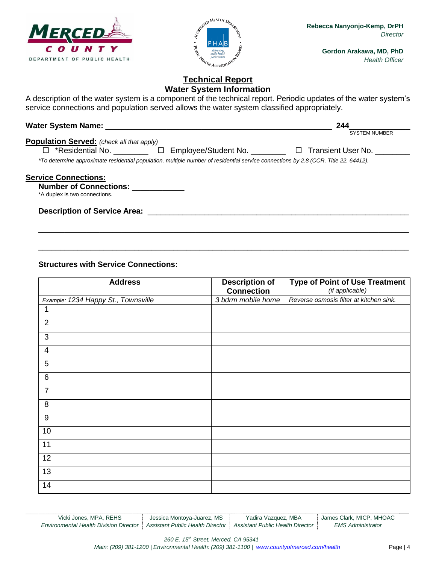



# **Technical Report Water System Information**

<span id="page-4-0"></span>A description of the water system is a component of the technical report. Periodic updates of the water system's service connections and population served allows the water system classified appropriately.

<span id="page-4-2"></span><span id="page-4-1"></span>

|                                                                                                                                     | 244                  |
|-------------------------------------------------------------------------------------------------------------------------------------|----------------------|
|                                                                                                                                     | <b>SYSTEM NUMBER</b> |
| <b>Population Served:</b> (check all that apply)                                                                                    |                      |
| □ *Residential No. __________ □ Employee/Student No. ________ □ Transient User No. ____                                             |                      |
| *To determine approximate residential population, multiple number of residential service connections by 2.8 (CCR, Title 22, 64412). |                      |
|                                                                                                                                     |                      |
| <b>Service Connections:</b>                                                                                                         |                      |
| <b>Number of Connections:</b>                                                                                                       |                      |
| *A duplex is two connections.                                                                                                       |                      |
|                                                                                                                                     |                      |
| <b>Description of Service Area:</b>                                                                                                 |                      |

\_\_\_\_\_\_\_\_\_\_\_\_\_\_\_\_\_\_\_\_\_\_\_\_\_\_\_\_\_\_\_\_\_\_\_\_\_\_\_\_\_\_\_\_\_\_\_\_\_\_\_\_\_\_\_\_\_\_\_\_\_\_\_\_\_\_\_\_\_\_\_\_\_\_\_\_\_\_\_\_\_\_\_\_\_

\_\_\_\_\_\_\_\_\_\_\_\_\_\_\_\_\_\_\_\_\_\_\_\_\_\_\_\_\_\_\_\_\_\_\_\_\_\_\_\_\_\_\_\_\_\_\_\_\_\_\_\_\_\_\_\_\_\_\_\_\_\_\_\_\_\_\_\_\_\_\_\_\_\_\_\_\_\_\_\_\_\_\_\_\_

#### **Structures with Service Connections:**

|                 | <b>Address</b>                      | <b>Description of</b><br><b>Connection</b> | <b>Type of Point of Use Treatment</b><br>(if applicable) |
|-----------------|-------------------------------------|--------------------------------------------|----------------------------------------------------------|
|                 | Example: 1234 Happy St., Townsville | 3 bdrm mobile home                         | Reverse osmosis filter at kitchen sink.                  |
| 1               |                                     |                                            |                                                          |
| $\overline{2}$  |                                     |                                            |                                                          |
| 3               |                                     |                                            |                                                          |
| $\overline{4}$  |                                     |                                            |                                                          |
| 5               |                                     |                                            |                                                          |
| $\,6\,$         |                                     |                                            |                                                          |
| $\overline{7}$  |                                     |                                            |                                                          |
| 8               |                                     |                                            |                                                          |
| $9\,$           |                                     |                                            |                                                          |
| 10              |                                     |                                            |                                                          |
| 11              |                                     |                                            |                                                          |
| $\overline{12}$ |                                     |                                            |                                                          |
| 13              |                                     |                                            |                                                          |
| 14              |                                     |                                            |                                                          |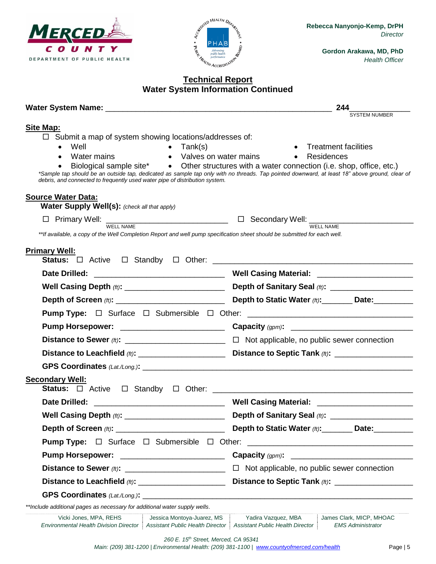



**Rebecca Nanyonjo-Kemp, DrPH** *Director*

> **Gordon Arakawa, MD, PhD** *Health Officer*

# **Water System Information Continued**

<span id="page-5-1"></span><span id="page-5-0"></span>

|                                                                                                                                                                                                                                                                                                         | 244<br><b>SYSTEM NUMBER</b>                                                                                                                                                                                                                   |
|---------------------------------------------------------------------------------------------------------------------------------------------------------------------------------------------------------------------------------------------------------------------------------------------------------|-----------------------------------------------------------------------------------------------------------------------------------------------------------------------------------------------------------------------------------------------|
| <b>Site Map:</b>                                                                                                                                                                                                                                                                                        |                                                                                                                                                                                                                                               |
| $\Box$ Submit a map of system showing locations/addresses of:                                                                                                                                                                                                                                           |                                                                                                                                                                                                                                               |
| Well<br>$\bullet$ Tank(s)<br>$\bullet$                                                                                                                                                                                                                                                                  | <b>Treatment facilities</b>                                                                                                                                                                                                                   |
| Water mains<br>• Valves on water mains                                                                                                                                                                                                                                                                  | • Residences                                                                                                                                                                                                                                  |
| debris, and connected to frequently used water pipe of distribution system.                                                                                                                                                                                                                             | Biological sample site* • Other structures with a water connection (i.e. shop, office, etc.)<br>*Sample tap should be an outside tap, dedicated as sample tap only with no threads. Tap pointed downward, at least 18" above ground, clear of |
| <b>Source Water Data:</b>                                                                                                                                                                                                                                                                               |                                                                                                                                                                                                                                               |
| Water Supply Well(s): (check all that apply)                                                                                                                                                                                                                                                            |                                                                                                                                                                                                                                               |
| $\frac{1}{2}$ Primary Well: $\frac{1}{2}$ $\frac{1}{2}$ $\frac{1}{2}$ Secondary Well: $\frac{1}{2}$ $\frac{1}{2}$ $\frac{1}{2}$ $\frac{1}{2}$ $\frac{1}{2}$ $\frac{1}{2}$ $\frac{1}{2}$ $\frac{1}{2}$ $\frac{1}{2}$ $\frac{1}{2}$ $\frac{1}{2}$ $\frac{1}{2}$ $\frac{1}{2}$ $\frac{1}{2}$ $\frac{1}{2}$ |                                                                                                                                                                                                                                               |
| **If available, a copy of the Well Completion Report and well pump specification sheet should be submitted for each well.                                                                                                                                                                               |                                                                                                                                                                                                                                               |
| <b>Primary Well:</b>                                                                                                                                                                                                                                                                                    |                                                                                                                                                                                                                                               |
|                                                                                                                                                                                                                                                                                                         |                                                                                                                                                                                                                                               |
|                                                                                                                                                                                                                                                                                                         |                                                                                                                                                                                                                                               |
|                                                                                                                                                                                                                                                                                                         |                                                                                                                                                                                                                                               |
|                                                                                                                                                                                                                                                                                                         |                                                                                                                                                                                                                                               |
|                                                                                                                                                                                                                                                                                                         |                                                                                                                                                                                                                                               |
|                                                                                                                                                                                                                                                                                                         |                                                                                                                                                                                                                                               |
|                                                                                                                                                                                                                                                                                                         |                                                                                                                                                                                                                                               |
| Distance to Leachfield (ft): _______________________                                                                                                                                                                                                                                                    |                                                                                                                                                                                                                                               |
|                                                                                                                                                                                                                                                                                                         |                                                                                                                                                                                                                                               |
| <b>Secondary Well:</b>                                                                                                                                                                                                                                                                                  |                                                                                                                                                                                                                                               |
|                                                                                                                                                                                                                                                                                                         |                                                                                                                                                                                                                                               |
|                                                                                                                                                                                                                                                                                                         | Depth of Sanitary Seal (ft): ______________________                                                                                                                                                                                           |
|                                                                                                                                                                                                                                                                                                         | Depth to Static Water (ft): Date:                                                                                                                                                                                                             |
|                                                                                                                                                                                                                                                                                                         |                                                                                                                                                                                                                                               |
| Pump Horsepower: ____________________________                                                                                                                                                                                                                                                           |                                                                                                                                                                                                                                               |
|                                                                                                                                                                                                                                                                                                         | $\Box$ Not applicable, no public sewer connection                                                                                                                                                                                             |
| Distance to Leachfield (ft): _________________________                                                                                                                                                                                                                                                  |                                                                                                                                                                                                                                               |
|                                                                                                                                                                                                                                                                                                         |                                                                                                                                                                                                                                               |
| **Include additional pages as necessary for additional water supply wells.                                                                                                                                                                                                                              |                                                                                                                                                                                                                                               |
| Vicki Jones, MPA, REHS<br>Jessica Montoya-Juarez, MS<br><b>Environmental Health Division Director</b><br><b>Assistant Public Health Director</b>                                                                                                                                                        | Yadira Vazquez, MBA<br>James Clark, MICP, MHOAC<br><b>Assistant Public Health Director</b><br><b>EMS Administrator</b>                                                                                                                        |
| 260 E. 15 <sup>th</sup> Street, Merced, CA 95341                                                                                                                                                                                                                                                        |                                                                                                                                                                                                                                               |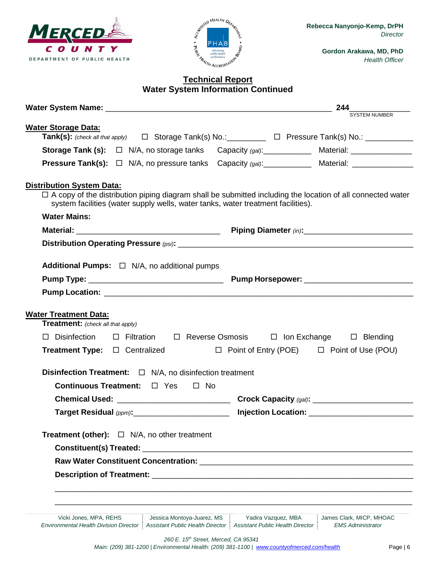



**Rebecca Nanyonjo-Kemp, DrPH** *Director*

> **Gordon Arakawa, MD, PhD** *Health Officer*

# **Water System Information Continued**

<span id="page-6-2"></span><span id="page-6-1"></span><span id="page-6-0"></span>

| Water Storage Data:                      |                                                                                                                |                     |                                                                                                                   |
|------------------------------------------|----------------------------------------------------------------------------------------------------------------|---------------------|-------------------------------------------------------------------------------------------------------------------|
|                                          |                                                                                                                |                     | Tank(s): (check all that apply) $\square$ Storage Tank(s) No.: ________ □ Pressure Tank(s) No.: ________          |
|                                          |                                                                                                                |                     |                                                                                                                   |
|                                          |                                                                                                                |                     | <b>Pressure Tank(s):</b> □ N/A, no pressure tanks Capacity (gal): ___________ Material: ________________          |
| <b>Distribution System Data:</b>         | system facilities (water supply wells, water tanks, water treatment facilities).                               |                     | $\Box$ A copy of the distribution piping diagram shall be submitted including the location of all connected water |
| <b>Water Mains:</b>                      |                                                                                                                |                     |                                                                                                                   |
|                                          |                                                                                                                |                     |                                                                                                                   |
|                                          |                                                                                                                |                     |                                                                                                                   |
|                                          | <b>Additional Pumps:</b> $\Box$ N/A, no additional pumps                                                       |                     |                                                                                                                   |
|                                          |                                                                                                                |                     |                                                                                                                   |
|                                          |                                                                                                                |                     |                                                                                                                   |
| <b>Water Treatment Data:</b>             |                                                                                                                |                     |                                                                                                                   |
| <b>Treatment:</b> (check all that apply) |                                                                                                                |                     |                                                                                                                   |
|                                          |                                                                                                                |                     | $\Box$ Disinfection $\Box$ Filtration $\Box$ Reverse Osmosis $\Box$ Ion Exchange $\Box$ Blending                  |
|                                          |                                                                                                                |                     | <b>Treatment Type:</b> $\Box$ Centralized $\Box$ Point of Entry (POE) $\Box$ Point of Use (POU)                   |
|                                          | <b>Disinfection Treatment:</b> $\Box$ N/A, no disinfection treatment                                           |                     |                                                                                                                   |
|                                          | Continuous Treatment: □ Yes □ No                                                                               |                     |                                                                                                                   |
|                                          |                                                                                                                |                     |                                                                                                                   |
|                                          | Target Residual (ppm): ___________________________                                                             |                     |                                                                                                                   |
|                                          | <b>Treatment (other):</b> $\Box$ N/A, no other treatment                                                       |                     |                                                                                                                   |
|                                          |                                                                                                                |                     |                                                                                                                   |
|                                          | Raw Water Constituent Concentration: Network and Constitution of the Constitution of the Constitution of the C |                     |                                                                                                                   |
|                                          |                                                                                                                |                     |                                                                                                                   |
|                                          |                                                                                                                |                     |                                                                                                                   |
|                                          |                                                                                                                |                     |                                                                                                                   |
|                                          |                                                                                                                |                     |                                                                                                                   |
| Vicki Jones, MPA, REHS                   | Jessica Montoya-Juarez, MS                                                                                     | Yadira Vazquez, MBA | James Clark, MICP, MHOAC                                                                                          |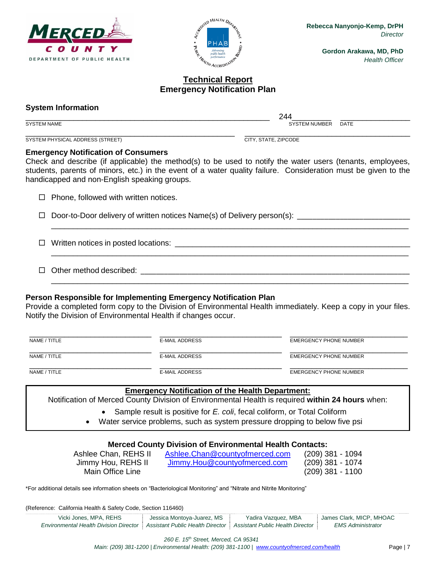



# **Technical Report Emergency Notification Plan**

#### <span id="page-7-0"></span>**System Information**

\_\_\_\_\_\_\_\_\_\_\_\_\_\_\_\_\_\_\_\_\_\_\_\_\_\_\_\_\_\_\_\_\_\_\_\_\_\_\_\_\_\_\_\_\_\_\_\_\_\_\_\_\_\_\_\_ 244\_\_\_\_\_\_\_\_\_ \_\_\_\_\_\_\_\_\_\_\_\_\_\_\_\_ SYSTEM NAME SAND RESERVE THE SERVER OF STREET AND SYSTEM NUMBER DATE

\_\_\_\_\_\_\_\_\_\_\_\_\_\_\_\_\_\_\_\_\_\_\_\_\_\_\_\_\_\_\_\_\_\_\_\_\_\_\_\_\_\_\_\_\_\_\_\_ \_\_\_\_\_\_\_\_\_\_\_\_\_\_\_\_\_\_\_\_\_\_\_\_\_\_\_\_\_\_\_\_\_\_\_\_\_\_ SYSTEM PHYSICAL ADDRESS (STREET) CITY, STATE, ZIPCODE

#### **Emergency Notification of Consumers**

Check and describe (if applicable) the method(s) to be used to notify the water users (tenants, employees, students, parents of minors, etc.) in the event of a water quality failure. Consideration must be given to the handicapped and non-English speaking groups.

\_\_\_\_\_\_\_\_\_\_\_\_\_\_\_\_\_\_\_\_\_\_\_\_\_\_\_\_\_\_\_\_\_\_\_\_\_\_\_\_\_\_\_\_\_\_\_\_\_\_\_\_\_\_\_\_\_\_\_\_\_\_\_\_\_\_\_\_\_\_\_\_\_\_\_\_\_\_\_\_\_\_

\_\_\_\_\_\_\_\_\_\_\_\_\_\_\_\_\_\_\_\_\_\_\_\_\_\_\_\_\_\_\_\_\_\_\_\_\_\_\_\_\_\_\_\_\_\_\_\_\_\_\_\_\_\_\_\_\_\_\_\_\_\_\_\_\_\_\_\_\_\_\_\_\_\_\_\_\_\_\_\_\_\_

\_\_\_\_\_\_\_\_\_\_\_\_\_\_\_\_\_\_\_\_\_\_\_\_\_\_\_\_\_\_\_\_\_\_\_\_\_\_\_\_\_\_\_\_\_\_\_\_\_\_\_\_\_\_\_\_\_\_\_\_\_\_\_\_\_\_\_\_\_\_\_\_\_\_\_\_\_\_\_\_\_\_

 $\Box$  Phone, followed with written notices.

 $\Box$  Door-to-Door delivery of written notices Name(s) of Delivery person(s):

Written notices in posted locations: \_\_\_\_\_\_\_\_\_\_\_\_\_\_\_\_\_\_\_\_\_\_\_\_\_\_\_\_\_\_\_\_\_\_\_\_\_\_\_\_\_\_\_\_\_\_\_\_\_\_\_\_\_\_

 $\Box$  Other method described:

# **Person Responsible for Implementing Emergency Notification Plan**

Provide a completed form copy to the Division of Environmental Health immediately. Keep a copy in your files. Notify the Division of Environmental Health if changes occur.

| NAME / TITLE | E-MAIL ADDRESS | EMERGENCY PHONE NUMBER |
|--------------|----------------|------------------------|
| NAME / TITLE | E-MAIL ADDRESS | EMERGENCY PHONE NUMBER |
| NAME / TITLE | E-MAIL ADDRESS | EMERGENCY PHONE NUMBER |

#### **Emergency Notification of the Health Department:**

Notification of Merced County Division of Environmental Health is required **within 24 hours** when:

- Sample result is positive for *E. coli*, fecal coliform, or Total Coliform
- Water service problems, such as system pressure dropping to below five psi

# **Merced County Division of Environmental Health Contacts:**

Main Office Line (209) 381 - 1100

Ashlee Chan, REHS II [Ashlee.Chan@countyofmerced.com](mailto:Ashlee.Chan@countyofmerced.com) (209) 381 - 1094 Jimmy Hou, REHS II [Jimmy.Hou@countyofmerced.com](mailto:Jimmy.Hou@countyofmerced.com) (209) 381 - 1074

\*For additional details see information sheets on "Bacteriological Monitoring" and "Nitrate and Nitrite Monitoring"

(Reference: California Health & Safety Code, Section 116460)

| Vicki Jones, MPA, REHS                                                                                              | Jessica Montoya-Juarez, MS | Yadira Vazquez, MBA | James Clark, MICP, MHOAC |
|---------------------------------------------------------------------------------------------------------------------|----------------------------|---------------------|--------------------------|
| <b>Environmental Health Division Director   Assistant Public Health Director   Assistant Public Health Director</b> |                            |                     | <b>EMS Administrator</b> |

*260 E. 15th Street, Merced, CA 95341*

*Main: (209) 381-1200 | Environmental Health: (209) 381-1100* | *[www.countyofmerced.com/health](http://www.countyofmerced.com/health)* Page | 7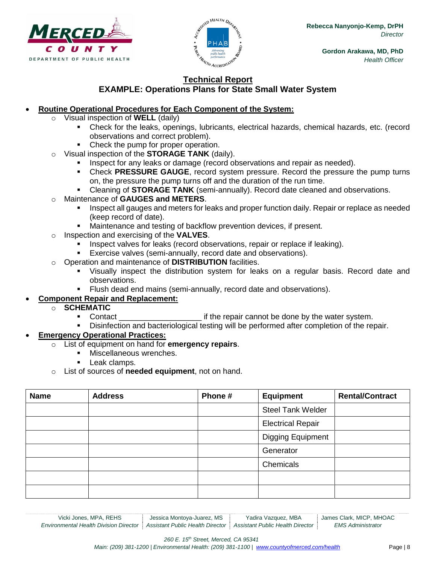



## **Technical Report EXAMPLE: Operations Plans for State Small Water System**

# <span id="page-8-0"></span>**Routine Operational Procedures for Each Component of the System:**

- Visual inspection of **WELL** (daily)
	- Check for the leaks, openings, lubricants, electrical hazards, chemical hazards, etc. (record observations and correct problem).
	- Check the pump for proper operation.
- o Visual inspection of the **STORAGE TANK** (daily).
	- Inspect for any leaks or damage (record observations and repair as needed).
	- Check **PRESSURE GAUGE**, record system pressure. Record the pressure the pump turns on, the pressure the pump turns off and the duration of the run time.
	- Cleaning of **STORAGE TANK** (semi-annually). Record date cleaned and observations.

# o Maintenance of **GAUGES and METERS**.

- **Inspect all gauges and meters for leaks and proper function daily. Repair or replace as needed** (keep record of date).
- Maintenance and testing of backflow prevention devices, if present.
- o Inspection and exercising of the **VALVES**.
	- Inspect valves for leaks (record observations, repair or replace if leaking).
	- **Exercise valves (semi-annually, record date and observations).**
- o Operation and maintenance of **DISTRIBUTION** facilities.
	- Visually inspect the distribution system for leaks on a regular basis. Record date and observations.
	- Flush dead end mains (semi-annually, record date and observations).

#### **Component Repair and Replacement:**

#### o **SCHEMATIC**

- Contact \_\_\_\_\_\_\_\_\_\_\_\_\_\_\_\_\_\_\_ if the repair cannot be done by the water system.
- Disinfection and bacteriological testing will be performed after completion of the repair.

#### **Emergency Operational Practices:**

- o List of equipment on hand for **emergency repairs**.
	- Miscellaneous wrenches.
	- **Leak clamps.**
- o List of sources of **needed equipment**, not on hand.

| <b>Name</b> | <b>Address</b> | Phone# | <b>Equipment</b>         | <b>Rental/Contract</b> |
|-------------|----------------|--------|--------------------------|------------------------|
|             |                |        | <b>Steel Tank Welder</b> |                        |
|             |                |        | <b>Electrical Repair</b> |                        |
|             |                |        | <b>Digging Equipment</b> |                        |
|             |                |        | Generator                |                        |
|             |                |        | Chemicals                |                        |
|             |                |        |                          |                        |
|             |                |        |                          |                        |

*260 E. 15th Street, Merced, CA 95341*

*Main: (209) 381-1200 | Environmental Health: (209) 381-1100* | *[www.countyofmerced.com/health](http://www.countyofmerced.com/health)* Page | 8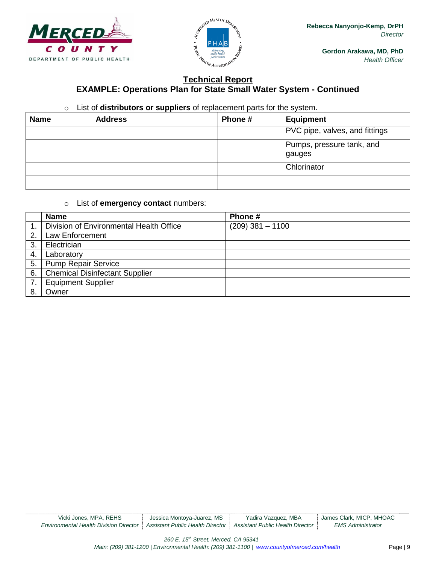



# **Technical Report EXAMPLE: Operations Plan for State Small Water System - Continued**

## o List of **distributors or suppliers** of replacement parts for the system.

| <b>Name</b> | <b>Address</b> | Phone # | <b>Equipment</b>                    |
|-------------|----------------|---------|-------------------------------------|
|             |                |         | PVC pipe, valves, and fittings      |
|             |                |         | Pumps, pressure tank, and<br>gauges |
|             |                |         | Chlorinator                         |
|             |                |         |                                     |

#### o List of **emergency contact** numbers:

|    | <b>Name</b>                             | Phone #            |
|----|-----------------------------------------|--------------------|
|    | Division of Environmental Health Office | $(209)$ 381 - 1100 |
| 2. | <b>Law Enforcement</b>                  |                    |
| 3  | Electrician                             |                    |
| 4. | Laboratory                              |                    |
| 5. | <b>Pump Repair Service</b>              |                    |
| 6. | <b>Chemical Disinfectant Supplier</b>   |                    |
| 7. | <b>Equipment Supplier</b>               |                    |
|    | Owner                                   |                    |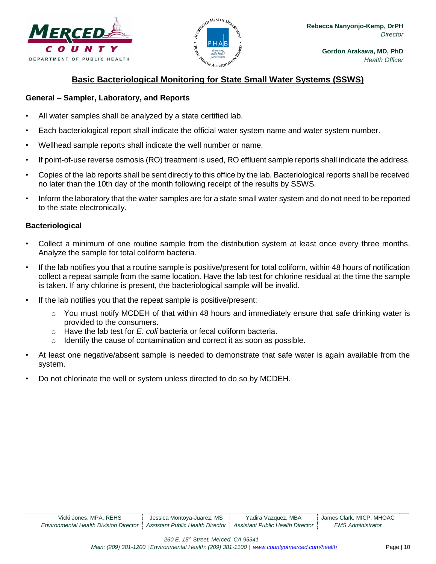



# **Basic Bacteriological Monitoring for State Small Water Systems (SSWS)**

#### <span id="page-10-0"></span>**General – Sampler, Laboratory, and Reports**

- All water samples shall be analyzed by a state certified lab.
- Each bacteriological report shall indicate the official water system name and water system number.
- Wellhead sample reports shall indicate the well number or name.
- If point-of-use reverse osmosis (RO) treatment is used, RO effluent sample reports shall indicate the address.
- Copies of the lab reports shall be sent directly to this office by the lab. Bacteriological reports shall be received no later than the 10th day of the month following receipt of the results by SSWS.
- Inform the laboratory that the water samples are for a state small water system and do not need to be reported to the state electronically.

#### **Bacteriological**

- Collect a minimum of one routine sample from the distribution system at least once every three months. Analyze the sample for total coliform bacteria.
- If the lab notifies you that a routine sample is positive/present for total coliform, within 48 hours of notification collect a repeat sample from the same location. Have the lab test for chlorine residual at the time the sample is taken. If any chlorine is present, the bacteriological sample will be invalid.
- If the lab notifies you that the repeat sample is positive/present:
	- You must notify MCDEH of that within 48 hours and immediately ensure that safe drinking water is provided to the consumers.
	- o Have the lab test for *E. coli* bacteria or fecal coliform bacteria.
	- o Identify the cause of contamination and correct it as soon as possible.
- At least one negative/absent sample is needed to demonstrate that safe water is again available from the system.
- Do not chlorinate the well or system unless directed to do so by MCDEH.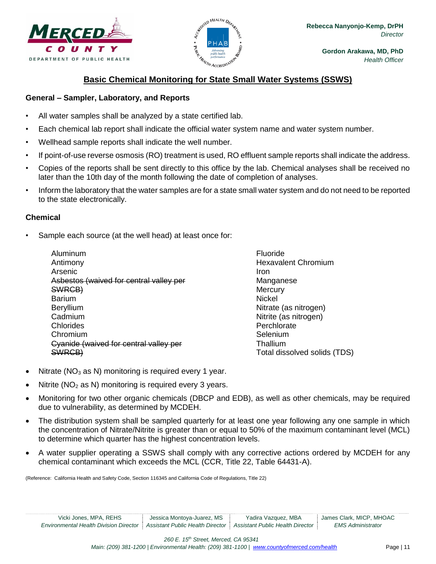



# **Basic Chemical Monitoring for State Small Water Systems (SSWS)**

#### <span id="page-11-0"></span>**General – Sampler, Laboratory, and Reports**

- All water samples shall be analyzed by a state certified lab.
- Each chemical lab report shall indicate the official water system name and water system number.
- Wellhead sample reports shall indicate the well number.
- If point-of-use reverse osmosis (RO) treatment is used, RO effluent sample reports shall indicate the address.
- Copies of the reports shall be sent directly to this office by the lab. Chemical analyses shall be received no later than the 10th day of the month following the date of completion of analyses.
- Inform the laboratory that the water samples are for a state small water system and do not need to be reported to the state electronically.

## **Chemical**

Sample each source (at the well head) at least once for:

| Aluminum                                |
|-----------------------------------------|
| Antimony                                |
| Arsenic                                 |
| Asbestos (waived for central valley per |
| SWRCB)                                  |
| <b>Barium</b>                           |
| Beryllium                               |
| Cadmium                                 |
| Chlorides                               |
| Chromium                                |
| Cyanide (waived for central valley per  |
|                                         |

Fluoride Hexavalent Chromium Iron Manganese **Mercury** Nickel Nitrate (as nitrogen) Nitrite (as nitrogen) **Perchlorate** Selenium Thallium Total dissolved solids (TDS)

- Nitrate ( $NO<sub>3</sub>$  as N) monitoring is required every 1 year.
- Nitrite ( $NO<sub>2</sub>$  as N) monitoring is required every 3 years.
- Monitoring for two other organic chemicals (DBCP and EDB), as well as other chemicals, may be required due to vulnerability, as determined by MCDEH.
- The distribution system shall be sampled quarterly for at least one year following any one sample in which the concentration of Nitrate/Nitrite is greater than or equal to 50% of the maximum contaminant level (MCL) to determine which quarter has the highest concentration levels.
- A water supplier operating a SSWS shall comply with any corrective actions ordered by MCDEH for any chemical contaminant which exceeds the MCL (CCR, Title 22, Table 64431-A).

(Reference: California Health and Safety Code, Section 116345 and California Code of Regulations, Title 22)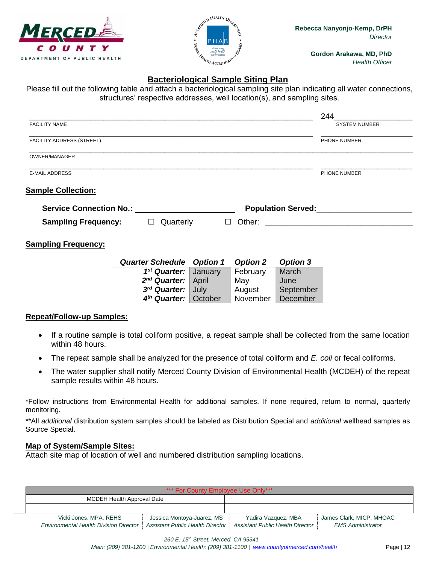



# **Bacteriological Sample Siting Plan**

<span id="page-12-0"></span>Please fill out the following table and attach a bacteriological sampling site plan indicating all water connections, structures' respective addresses, well location(s), and sampling sites.

|                            |                                                      |         |                 |                 | 244                                                                                                                                                                                                                              |
|----------------------------|------------------------------------------------------|---------|-----------------|-----------------|----------------------------------------------------------------------------------------------------------------------------------------------------------------------------------------------------------------------------------|
| <b>FACILITY NAME</b>       |                                                      |         |                 |                 | <b>SYSTEM NUMBER</b>                                                                                                                                                                                                             |
| FACILITY ADDRESS (STREET)  |                                                      |         |                 |                 | PHONE NUMBER                                                                                                                                                                                                                     |
| OWNER/MANAGER              |                                                      |         |                 |                 |                                                                                                                                                                                                                                  |
| <b>E-MAIL ADDRESS</b>      |                                                      |         |                 |                 | PHONE NUMBER                                                                                                                                                                                                                     |
| <b>Sample Collection:</b>  |                                                      |         |                 |                 |                                                                                                                                                                                                                                  |
|                            | Service Connection No.: <u>_____________________</u> |         |                 |                 | Population Served:<br>The Served: Served: Served: Served: Served: Served: Served: Served: Served: Served: Served: Served: Served: Served: Served: Served: Served: Served: Served: Served: Served: Served: Served: Served: Served |
| <b>Sampling Frequency:</b> | $\Box$ Quarterly                                     | $\Box$  |                 |                 |                                                                                                                                                                                                                                  |
|                            |                                                      |         |                 |                 |                                                                                                                                                                                                                                  |
|                            |                                                      |         |                 |                 |                                                                                                                                                                                                                                  |
|                            | <b>Quarter Schedule Option 1</b>                     |         | <b>Option 2</b> | <b>Option 3</b> |                                                                                                                                                                                                                                  |
|                            | 1 <sup>st</sup> Quarter:                             | January | February        | March           |                                                                                                                                                                                                                                  |
|                            | 2 <sup>nd</sup> Quarter:                             | April   | May             | June            |                                                                                                                                                                                                                                  |
| <b>Sampling Frequency:</b> | 3rd Quarter:                                         | July    | August          | September       |                                                                                                                                                                                                                                  |

#### **Repeat/Follow-up Samples:**

- If a routine sample is total coliform positive, a repeat sample shall be collected from the same location within 48 hours.
- The repeat sample shall be analyzed for the presence of total coliform and *E. coli* or fecal coliforms.
- The water supplier shall notify Merced County Division of Environmental Health (MCDEH) of the repeat sample results within 48 hours.

\*Follow instructions from Environmental Health for additional samples. If none required, return to normal, quarterly monitoring.

\*\*All *additional* distribution system samples should be labeled as Distribution Special and *additional* wellhead samples as Source Special.

#### **Map of System/Sample Sites:**

Attach site map of location of well and numbered distribution sampling locations.

| *** For County Employee Use Only***           |                                  |                                  |                          |  |  |
|-----------------------------------------------|----------------------------------|----------------------------------|--------------------------|--|--|
| <b>MCDEH Health Approval Date</b>             |                                  |                                  |                          |  |  |
|                                               |                                  |                                  |                          |  |  |
| Vicki Jones, MPA, REHS                        | Jessica Montoya-Juarez, MS       | Yadira Vazquez, MBA              | James Clark, MICP, MHOAC |  |  |
| <b>Environmental Health Division Director</b> | Assistant Public Health Director | Assistant Public Health Director | <b>EMS Administrator</b> |  |  |

*260 E. 15th Street, Merced, CA 95341* 

*Main: (209) 381-1200 | Environmental Health: (209) 381-1100* | *[www.countyofmerced.com/health](http://www.countyofmerced.com/health)* Page | 12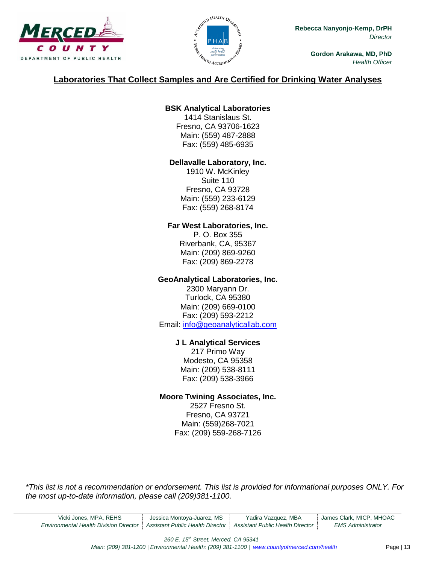



# **Laboratories That Collect Samples and Are Certified for Drinking Water Analyses**

# **BSK Analytical Laboratories**

1414 Stanislaus St. Fresno, CA 93706-1623 Main: (559) 487-2888 Fax: (559) 485-6935

## **Dellavalle Laboratory, Inc.**

1910 W. McKinley Suite 110 Fresno, CA 93728 Main: (559) 233-6129 Fax: (559) 268-8174

## **Far West Laboratories, Inc.**

P. O. Box 355 Riverbank, CA, 95367 Main: (209) 869-9260 Fax: (209) 869-2278

## **GeoAnalytical Laboratories, Inc.**

2300 Maryann Dr. Turlock, CA 95380 Main: (209) 669-0100 Fax: (209) 593-2212 Email: [info@geoanalyticallab.com](mailto:info@geoanalyticallab.com)

# **J L Analytical Services**

217 Primo Way Modesto, CA 95358 Main: (209) 538-8111 Fax: (209) 538-3966

# **Moore Twining Associates, Inc.**

2527 Fresno St. Fresno, CA 93721 Main: (559)268-7021 Fax: (209) 559-268-7126

*\*This list is not a recommendation or endorsement. This list is provided for informational purposes ONLY. For the most up-to-date information, please call (209)381-1100.*

*260 E. 15th Street, Merced, CA 95341* 

*Main: (209) 381-1200 | Environmental Health: (209) 381-1100* | *[www.countyofmerced.com/health](http://www.countyofmerced.com/health)* Page | 13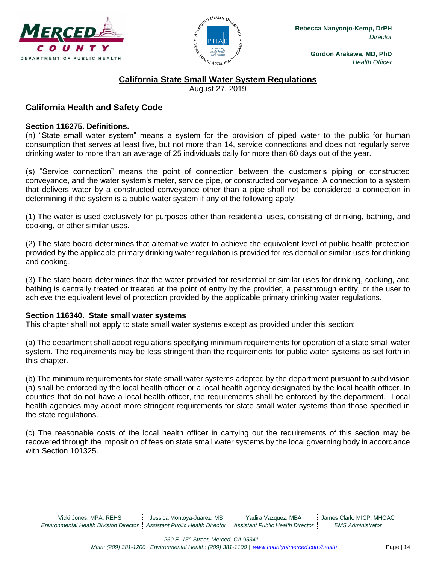



# **California State Small Water System Regulations**

August 27, 2019

# <span id="page-14-1"></span><span id="page-14-0"></span>**California Health and Safety Code**

#### **Section 116275. Definitions.**

(n) "State small water system" means a system for the provision of piped water to the public for human consumption that serves at least five, but not more than 14, service connections and does not regularly serve drinking water to more than an average of 25 individuals daily for more than 60 days out of the year.

(s) "Service connection" means the point of connection between the customer's piping or constructed conveyance, and the water system's meter, service pipe, or constructed conveyance. A connection to a system that delivers water by a constructed conveyance other than a pipe shall not be considered a connection in determining if the system is a public water system if any of the following apply:

(1) The water is used exclusively for purposes other than residential uses, consisting of drinking, bathing, and cooking, or other similar uses.

(2) The state board determines that alternative water to achieve the equivalent level of public health protection provided by the applicable primary drinking water regulation is provided for residential or similar uses for drinking and cooking.

(3) The state board determines that the water provided for residential or similar uses for drinking, cooking, and bathing is centrally treated or treated at the point of entry by the provider, a passthrough entity, or the user to achieve the equivalent level of protection provided by the applicable primary drinking water regulations.

#### **Section 116340. State small water systems**

This chapter shall not apply to state small water systems except as provided under this section:

(a) The department shall adopt regulations specifying minimum requirements for operation of a state small water system. The requirements may be less stringent than the requirements for public water systems as set forth in this chapter.

(b) The minimum requirements for state small water systems adopted by the department pursuant to subdivision (a) shall be enforced by the local health officer or a local health agency designated by the local health officer. In counties that do not have a local health officer, the requirements shall be enforced by the department. Local health agencies may adopt more stringent requirements for state small water systems than those specified in the state regulations.

(c) The reasonable costs of the local health officer in carrying out the requirements of this section may be recovered through the imposition of fees on state small water systems by the local governing body in accordance with Section 101325.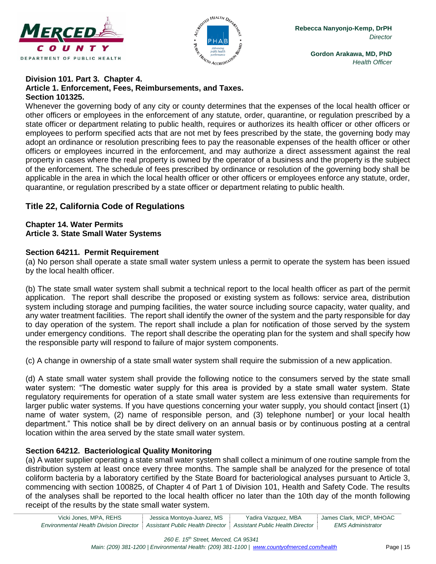



#### **Division 101. Part 3. Chapter 4. Article 1. Enforcement, Fees, Reimbursements, and Taxes. Section 101325.**

Whenever the governing body of any city or county determines that the expenses of the local health officer or other officers or employees in the enforcement of any statute, order, quarantine, or regulation prescribed by a state officer or department relating to public health, requires or authorizes its health officer or other officers or employees to perform specified acts that are not met by fees prescribed by the state, the governing body may adopt an ordinance or resolution prescribing fees to pay the reasonable expenses of the health officer or other officers or employees incurred in the enforcement, and may authorize a direct assessment against the real property in cases where the real property is owned by the operator of a business and the property is the subject of the enforcement. The schedule of fees prescribed by ordinance or resolution of the governing body shall be applicable in the area in which the local health officer or other officers or employees enforce any statute, order, quarantine, or regulation prescribed by a state officer or department relating to public health.

# <span id="page-15-0"></span>**Title 22, California Code of Regulations**

#### **Chapter 14. Water Permits Article 3. State Small Water Systems**

## **Section 64211. Permit Requirement**

(a) No person shall operate a state small water system unless a permit to operate the system has been issued by the local health officer.

(b) The state small water system shall submit a technical report to the local health officer as part of the permit application. The report shall describe the proposed or existing system as follows: service area, distribution system including storage and pumping facilities, the water source including source capacity, water quality, and any water treatment facilities. The report shall identify the owner of the system and the party responsible for day to day operation of the system. The report shall include a plan for notification of those served by the system under emergency conditions. The report shall describe the operating plan for the system and shall specify how the responsible party will respond to failure of major system components.

(c) A change in ownership of a state small water system shall require the submission of a new application.

(d) A state small water system shall provide the following notice to the consumers served by the state small water system: "The domestic water supply for this area is provided by a state small water system. State regulatory requirements for operation of a state small water system are less extensive than requirements for larger public water systems. If you have questions concerning your water supply, you should contact [insert (1) name of water system, (2) name of responsible person, and (3) telephone number] or your local health department." This notice shall be by direct delivery on an annual basis or by continuous posting at a central location within the area served by the state small water system.

# **Section 64212. Bacteriological Quality Monitoring**

(a) A water supplier operating a state small water system shall collect a minimum of one routine sample from the distribution system at least once every three months. The sample shall be analyzed for the presence of total coliform bacteria by a laboratory certified by the State Board for bacteriological analyses pursuant to Article 3, commencing with section 100825, of Chapter 4 of Part 1 of Division 101, Health and Safety Code. The results of the analyses shall be reported to the local health officer no later than the 10th day of the month following receipt of the results by the state small water system.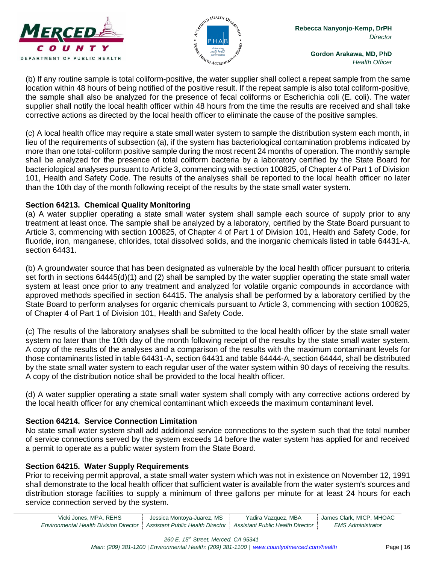



(b) If any routine sample is total coliform-positive, the water supplier shall collect a repeat sample from the same location within 48 hours of being notified of the positive result. If the repeat sample is also total coliform-positive, the sample shall also be analyzed for the presence of fecal coliforms or Escherichia coli (E. coli). The water supplier shall notify the local health officer within 48 hours from the time the results are received and shall take corrective actions as directed by the local health officer to eliminate the cause of the positive samples.

(c) A local health office may require a state small water system to sample the distribution system each month, in lieu of the requirements of subsection (a), if the system has bacteriological contamination problems indicated by more than one total-coliform positive sample during the most recent 24 months of operation. The monthly sample shall be analyzed for the presence of total coliform bacteria by a laboratory certified by the State Board for bacteriological analyses pursuant to Article 3, commencing with section 100825, of Chapter 4 of Part 1 of Division 101, Health and Safety Code. The results of the analyses shall be reported to the local health officer no later than the 10th day of the month following receipt of the results by the state small water system.

## **Section 64213. Chemical Quality Monitoring**

(a) A water supplier operating a state small water system shall sample each source of supply prior to any treatment at least once. The sample shall be analyzed by a laboratory, certified by the State Board pursuant to Article 3, commencing with section 100825, of Chapter 4 of Part 1 of Division 101, Health and Safety Code, for fluoride, iron, manganese, chlorides, total dissolved solids, and the inorganic chemicals listed in table 64431-A, section 64431.

(b) A groundwater source that has been designated as vulnerable by the local health officer pursuant to criteria set forth in sections 64445(d)(1) and (2) shall be sampled by the water supplier operating the state small water system at least once prior to any treatment and analyzed for volatile organic compounds in accordance with approved methods specified in section 64415. The analysis shall be performed by a laboratory certified by the State Board to perform analyses for organic chemicals pursuant to Article 3, commencing with section 100825, of Chapter 4 of Part 1 of Division 101, Health and Safety Code.

(c) The results of the laboratory analyses shall be submitted to the local health officer by the state small water system no later than the 10th day of the month following receipt of the results by the state small water system. A copy of the results of the analyses and a comparison of the results with the maximum contaminant levels for those contaminants listed in table 64431-A, section 64431 and table 64444-A, section 64444, shall be distributed by the state small water system to each regular user of the water system within 90 days of receiving the results. A copy of the distribution notice shall be provided to the local health officer.

(d) A water supplier operating a state small water system shall comply with any corrective actions ordered by the local health officer for any chemical contaminant which exceeds the maximum contaminant level.

# **Section 64214. Service Connection Limitation**

No state small water system shall add additional service connections to the system such that the total number of service connections served by the system exceeds 14 before the water system has applied for and received a permit to operate as a public water system from the State Board.

# **Section 64215. Water Supply Requirements**

Prior to receiving permit approval, a state small water system which was not in existence on November 12, 1991 shall demonstrate to the local health officer that sufficient water is available from the water system's sources and distribution storage facilities to supply a minimum of three gallons per minute for at least 24 hours for each service connection served by the system.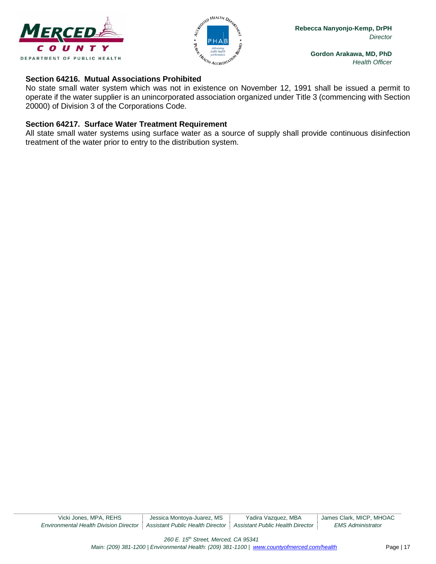



#### **Section 64216. Mutual Associations Prohibited**

No state small water system which was not in existence on November 12, 1991 shall be issued a permit to operate if the water supplier is an unincorporated association organized under Title 3 (commencing with Section 20000) of Division 3 of the Corporations Code.

## **Section 64217. Surface Water Treatment Requirement**

All state small water systems using surface water as a source of supply shall provide continuous disinfection treatment of the water prior to entry to the distribution system.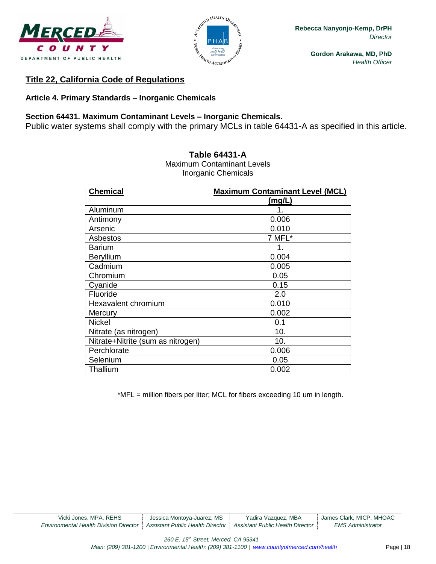



# **Title 22, California Code of Regulations**

# **Article 4. Primary Standards – Inorganic Chemicals**

## **Section 64431. Maximum Contaminant Levels – Inorganic Chemicals.**

Public water systems shall comply with the primary MCLs in table 64431-A as specified in this article.

| <b>Chemical</b>                   | <b>Maximum Contaminant Level (MCL)</b> |
|-----------------------------------|----------------------------------------|
|                                   | (mg/L)                                 |
| Aluminum                          | 1.                                     |
| Antimony                          | 0.006                                  |
| Arsenic                           | 0.010                                  |
| Asbestos                          | 7 MFL*                                 |
| <b>Barium</b>                     | 1.                                     |
| <b>Beryllium</b>                  | 0.004                                  |
| Cadmium                           | 0.005                                  |
| Chromium                          | 0.05                                   |
| Cyanide                           | 0.15                                   |
| Fluoride                          | 2.0                                    |
| Hexavalent chromium               | 0.010                                  |
| Mercury                           | 0.002                                  |
| <b>Nickel</b>                     | 0.1                                    |
| Nitrate (as nitrogen)             | 10.                                    |
| Nitrate+Nitrite (sum as nitrogen) | 10.                                    |
| Perchlorate                       | 0.006                                  |
| Selenium                          | 0.05                                   |
| Thallium                          | 0.002                                  |

#### **Table 64431-A**

Maximum Contaminant Levels Inorganic Chemicals

\*MFL = million fibers per liter; MCL for fibers exceeding 10 um in length.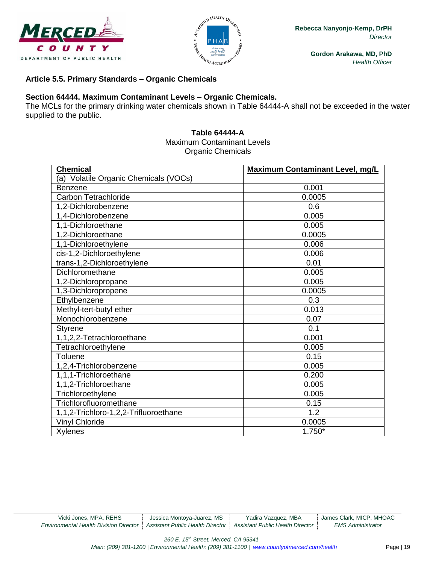



#### **Article 5.5. Primary Standards – Organic Chemicals**

#### **Section 64444. Maximum Contaminant Levels – Organic Chemicals.**

The MCLs for the primary drinking water chemicals shown in Table 64444-A shall not be exceeded in the water supplied to the public.

#### **Table 64444-A** Maximum Contaminant Levels Organic Chemicals

| <b>Chemical</b>                       | <b>Maximum Contaminant Level, mg/L</b> |
|---------------------------------------|----------------------------------------|
| (a) Volatile Organic Chemicals (VOCs) |                                        |
| <b>Benzene</b>                        | 0.001                                  |
| <b>Carbon Tetrachloride</b>           | 0.0005                                 |
| 1,2-Dichlorobenzene                   | 0.6                                    |
| 1,4-Dichlorobenzene                   | 0.005                                  |
| 1,1-Dichloroethane                    | 0.005                                  |
| 1,2-Dichloroethane                    | 0.0005                                 |
| 1,1-Dichloroethylene                  | 0.006                                  |
| cis-1,2-Dichloroethylene              | 0.006                                  |
| trans-1,2-Dichloroethylene            | 0.01                                   |
| Dichloromethane                       | 0.005                                  |
| 1,2-Dichloropropane                   | 0.005                                  |
| 1,3-Dichloropropene                   | 0.0005                                 |
| Ethylbenzene                          | 0.3                                    |
| Methyl-tert-butyl ether               | 0.013                                  |
| Monochlorobenzene                     | 0.07                                   |
| <b>Styrene</b>                        | 0.1                                    |
| 1,1,2,2-Tetrachloroethane             | 0.001                                  |
| Tetrachloroethylene                   | 0.005                                  |
| Toluene                               | 0.15                                   |
| 1,2,4-Trichlorobenzene                | 0.005                                  |
| 1,1,1-Trichloroethane                 | 0.200                                  |
| 1,1,2-Trichloroethane                 | 0.005                                  |
| Trichloroethylene                     | 0.005                                  |
| Trichlorofluoromethane                | 0.15                                   |
| 1,1,2-Trichloro-1,2,2-Trifluoroethane | 1.2                                    |
| <b>Vinyl Chloride</b>                 | 0.0005                                 |
| <b>Xylenes</b>                        | $1.750*$                               |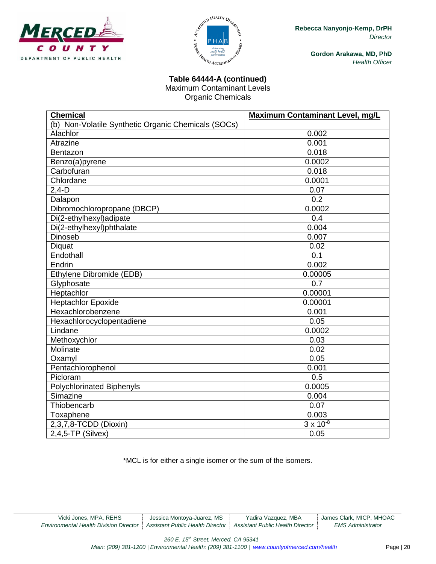



# **Table 64444-A (continued)**

Maximum Contaminant Levels

Organic Chemicals

| <b>Chemical</b>                                     | Maximum Contaminant Level, mg/L |
|-----------------------------------------------------|---------------------------------|
| (b) Non-Volatile Synthetic Organic Chemicals (SOCs) |                                 |
| Alachlor                                            | 0.002                           |
| Atrazine                                            | 0.001                           |
| Bentazon                                            | 0.018                           |
| Benzo(a)pyrene                                      | 0.0002                          |
| Carbofuran                                          | 0.018                           |
| Chlordane                                           | 0.0001                          |
| $2,4-D$                                             | 0.07                            |
| Dalapon                                             | 0.2                             |
| Dibromochloropropane (DBCP)                         | 0.0002                          |
| Di(2-ethylhexyl)adipate                             | 0.4                             |
| Di(2-ethylhexyl)phthalate                           | 0.004                           |
| Dinoseb                                             | 0.007                           |
| Diquat                                              | 0.02                            |
| Endothall                                           | 0.1                             |
| Endrin                                              | 0.002                           |
| Ethylene Dibromide (EDB)                            | 0.00005                         |
| Glyphosate                                          | 0.7                             |
| Heptachlor                                          | 0.00001                         |
| <b>Heptachlor Epoxide</b>                           | 0.00001                         |
| Hexachlorobenzene                                   | 0.001                           |
| Hexachlorocyclopentadiene                           | 0.05                            |
| Lindane                                             | 0.0002                          |
| Methoxychlor                                        | 0.03                            |
| Molinate                                            | 0.02                            |
| Oxamyl                                              | 0.05                            |
| Pentachlorophenol                                   | 0.001                           |
| Picloram                                            | 0.5                             |
| <b>Polychlorinated Biphenyls</b>                    | 0.0005                          |
| Simazine                                            | 0.004                           |
| Thiobencarb                                         | 0.07                            |
| Toxaphene                                           | 0.003                           |
| 2,3,7,8-TCDD (Dioxin)                               | $3 \times 10^{-8}$              |
| $2,4,5$ -TP (Silvex)                                | 0.05                            |

\*MCL is for either a single isomer or the sum of the isomers.